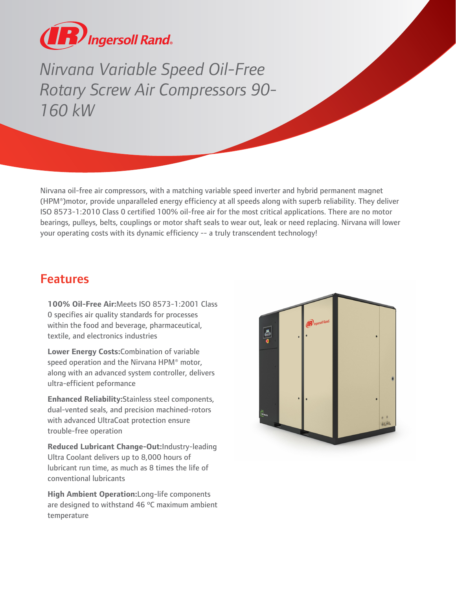

Nirvanna Variable Speed Oil-Free<br>
Rotary Screw Air Compressors 90<br>
160 kW<br>
Winana oil-free air compressors, with a matching variable speed inversed<br>
HPM\*) motor, provide unparalleled energy efficiency at all speeds als<br>
19 *Rotary Screw Air Compressors 90- 160 kW*

Nirvana oil-free air compressors, with a matching variable speed inverter and hybrid permanent magnet (HPM®)motor, provide unparalleled energy efficiency at all speeds along with superb reliability. They deliver ISO 8573-1:2010 Class 0 certified 100% oil-free air for the most critical applications. There are no motor bearings, pulleys, belts, couplings or motor shaft seals to wear out, leak or need replacing. Nirvana will lower your operating costs with its dynamic efficiency -- a truly transcendent technology!

## Features

**100% Oil-Free Air:**Meets ISO 8573-1:2001 Class 0 specifies air quality standards for processes within the food and beverage, pharmaceutical, textile, and electronics industries

**Lower Energy Costs:**Combination of variable speed operation and the Nirvana HPM® motor, along with an advanced system controller, delivers ultra-efficient peformance

**Enhanced Reliability:**Stainless steel components, dual-vented seals, and precision machined-rotors with advanced UltraCoat protection ensure trouble-free operation

**Reduced Lubricant Change-Out:**Industry-leading Ultra Coolant delivers up to 8,000 hours of lubricant run time, as much as 8 times the life of conventional lubricants

**High Ambient Operation:**Long-life components are designed to withstand 46 ºC maximum ambient